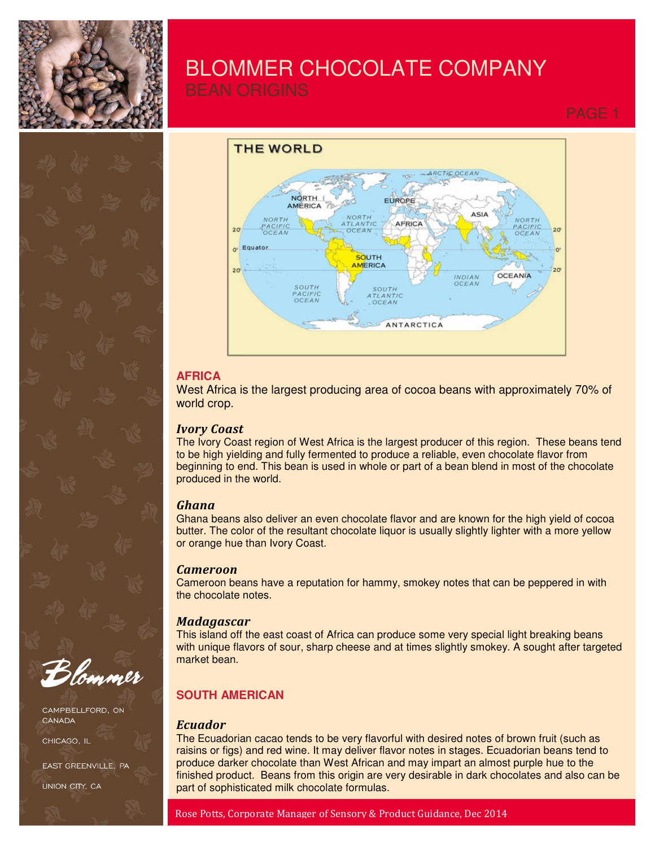

# BLOMMER CHOCOLATE COMPANY



## **AFRICA**

West Africa is the largest producing area of cocoa beans with approximately 70% of world crop.

## *Ivory Coast*

The Ivory Coast region of West Africa is the largest producer of this region. These beans tend to be high yielding and fully fermented to produce a reliable, even chocolate flavor from beginning to end. This bean is used in whole or part of a bean blend in most of the chocolate produced in the world.

## *Ghana*

Ghana beans also deliver an even chocolate flavor and are known for the high yield of cocoa butter. The color of the resultant chocolate liquor is usually slightly lighter with a more yellow or orange hue than Ivory Coast.

## *Cameroon*

Cameroon beans have a reputation for hammy, smokey notes that can be peppered in with the chocolate notes.

## *Madagascar*

This island off the east coast of Africa can produce some very special light breaking beans with unique flavors of sour, sharp cheese and at times slightly smokey. A sought after targeted market bean.

## **SOUTH AMERICAN**

## *Ecuador*

The Ecuadorian cacao tends to be very flavorful with desired notes of brown fruit (such as raisins or figs) and red wine. It may deliver flavor notes in stages. Ecuadorian beans tend to produce darker chocolate than West African and may impart an almost purple hue to the finished product. Beans from this origin are very desirable in dark chocolates and also can be part of sophisticated milk chocolate formulas.



CAMPBELLFORD, ON CANADA

CHICAGO. II

EAST GREENVILLE, PA

UNION CITY, CA